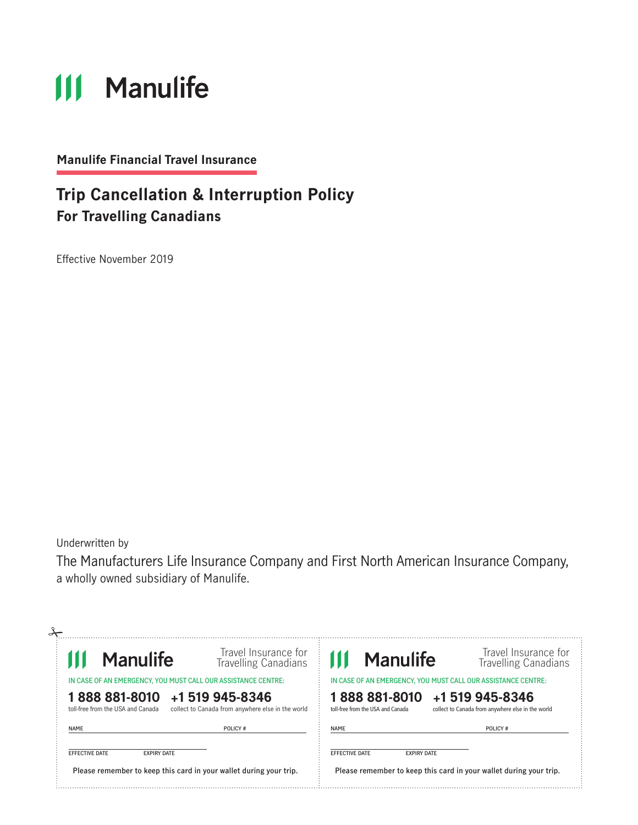# **111 Manulife**

**Manulife Financial Travel Insurance**

### **Trip Cancellation & Interruption Policy For Travelling Canadians**

Effective November 2019

Underwritten by

The Manufacturers Life Insurance Company and First North American Insurance Company, a wholly owned subsidiary of Manulife.

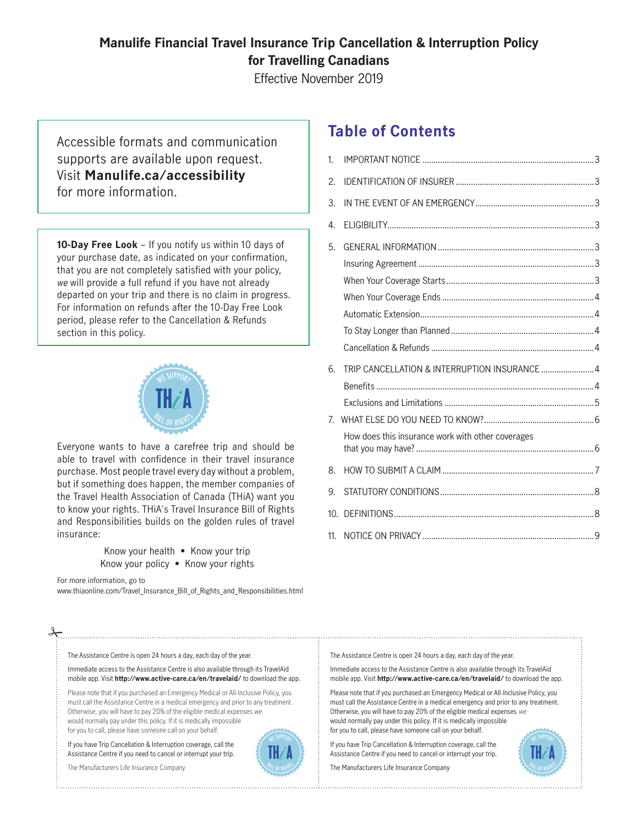### **Manulife Financial Travel Insurance Trip Cancellation & Interruption Policy for Travelling Canadians**

Effective November 2019

Accessible formats and communication supports are available upon request. Visit **Manulife.ca/accessibility** for more information.

**10-Day Free Look** – If you notify us within 10 days of your purchase date, as indicated on your confirmation, that you are not completely satisfied with your policy, we will provide a full refund if you have not already departed on your trip and there is no claim in progress. For information on refunds after the 10-Day Free Look period, please refer to the Cancellation & Refunds section in this policy.



Everyone wants to have a carefree trip and should be able to travel with confidence in their travel insurance purchase. Most people travel every day without a problem, but if something does happen, the member companies of the Travel Health Association of Canada (THiA) want you to know your rights. THiA's Travel Insurance Bill of Rights and Responsibilities builds on the golden rules of travel insurance:

> Know your health • Know your trip Know your policy • Know your rights

#### For more information, go to

www.thiaonline.com/Travel\_Insurance\_Bill\_of\_Rights\_and\_Responsibilities.html

### **Table of Contents**

| 1.              |                                                   |  |
|-----------------|---------------------------------------------------|--|
| 2.              |                                                   |  |
| 3.              |                                                   |  |
| 4.              |                                                   |  |
| 5.              |                                                   |  |
|                 |                                                   |  |
|                 |                                                   |  |
|                 |                                                   |  |
|                 |                                                   |  |
|                 |                                                   |  |
|                 |                                                   |  |
| 6.              | TRIP CANCELLATION & INTERRUPTION INSURANCE  4     |  |
|                 |                                                   |  |
|                 |                                                   |  |
| 7               |                                                   |  |
|                 | How does this insurance work with other coverages |  |
| 8.              |                                                   |  |
| 9.              |                                                   |  |
| 10 <sub>1</sub> |                                                   |  |
| 11 <sub>1</sub> |                                                   |  |

The Assistance Centre is open 24 hours a day, each day of the year.

Immediate access to the Assistance Centre is also available through its TravelAid mobile app. Visit **http://www.active-care.ca/en/travelaid/** to download the app.

Please note that if you purchased an Emergency Medical or All-Inclusive Policy, you must call the Assistance Centre in a medical emergency and prior to any treatment. Otherwise, you will have to pay 20% of the eligible medical expenses we would normally pay under this policy. If it is medically impossible for you to call, please have someone call on your behalf.

If you have Trip Cancellation & Interruption coverage, call the Assistance Centre if you need to cancel or interrupt your trip.

The Manufacturers Life Insurance Company



The Assistance Centre is open 24 hours a day, each day of the year.

Immediate access to the Assistance Centre is also available through its TravelAid mobile app. Visit **http://www.active-care.ca/en/travelaid/** to download the app.

Please note that if you purchased an Emergency Medical or All-Inclusive Policy, you must call the Assistance Centre in a medical emergency and prior to any treatment. Otherwise, you will have to pay 20% of the eligible medical expenses we would normally pay under this policy. If it is medically impossible for you to call, please have someone call on your behalf.

If you have Trip Cancellation & Interruption coverage, call the Assistance Centre if you need to cancel or interrupt your trip.

The Manufacturers Life Insurance Company

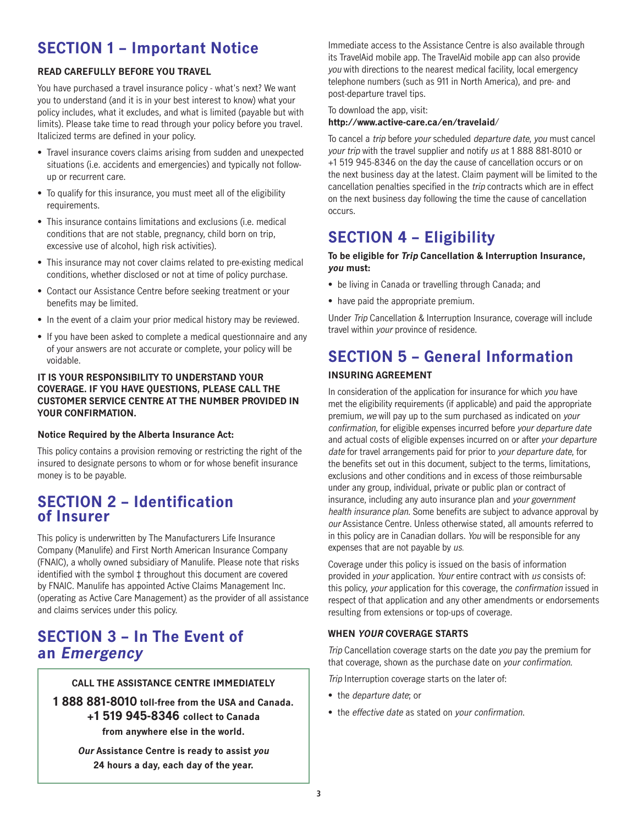### **SECTION 1 – Important Notice**

### **READ CAREFULLY BEFORE YOU TRAVEL**

You have purchased a travel insurance policy - what's next? We want you to understand (and it is in your best interest to know) what your policy includes, what it excludes, and what is limited (payable but with limits). Please take time to read through your policy before you travel. Italicized terms are defined in your policy.

- Travel insurance covers claims arising from sudden and unexpected situations (i.e. accidents and emergencies) and typically not followup or recurrent care.
- To qualify for this insurance, you must meet all of the eligibility requirements.
- This insurance contains limitations and exclusions (i.e. medical conditions that are not stable, pregnancy, child born on trip, excessive use of alcohol, high risk activities).
- This insurance may not cover claims related to pre-existing medical conditions, whether disclosed or not at time of policy purchase.
- Contact our Assistance Centre before seeking treatment or your benefits may be limited.
- In the event of a claim your prior medical history may be reviewed.
- If you have been asked to complete a medical questionnaire and any of your answers are not accurate or complete, your policy will be voidable.

### **IT IS YOUR RESPONSIBILITY TO UNDERSTAND YOUR COVERAGE. IF YOU HAVE QUESTIONS, PLEASE CALL THE CUSTOMER SERVICE CENTRE AT THE NUMBER PROVIDED IN YOUR CONFIRMATION.**

### **Notice Required by the Alberta Insurance Act:**

This policy contains a provision removing or restricting the right of the insured to designate persons to whom or for whose benefit insurance money is to be payable.

### **SECTION 2 – Identification of Insurer**

This policy is underwritten by The Manufacturers Life Insurance Company (Manulife) and First North American Insurance Company (FNAIC), a wholly owned subsidiary of Manulife. Please note that risks identified with the symbol ‡ throughout this document are covered by FNAIC. Manulife has appointed Active Claims Management Inc. (operating as Active Care Management) as the provider of all assistance and claims services under this policy.

### **SECTION 3 – In The Event of an Emergency**

### **CALL THE ASSISTANCE CENTRE IMMEDIATELY**

**1 888 881-8010 toll-free from the USA and Canada. +1 519 945-8346 collect to Canada from anywhere else in the world.**

> **Our Assistance Centre is ready to assist you 24 hours a day, each day of the year.**

Immediate access to the Assistance Centre is also available through its TravelAid mobile app. The TravelAid mobile app can also provide you with directions to the nearest medical facility, local emergency telephone numbers (such as 911 in North America), and pre- and post-departure travel tips.

#### To download the app, visit:

#### **http://www.active-care.ca/en/travelaid**/

To cancel a trip before your scheduled departure date, you must cancel your trip with the travel supplier and notify us at 1 888 881-8010 or +1 519 945-8346 on the day the cause of cancellation occurs or on the next business day at the latest. Claim payment will be limited to the cancellation penalties specified in the trip contracts which are in effect on the next business day following the time the cause of cancellation occurs.

### **SECTION 4 – Eligibility**

#### **To be eligible for Trip Cancellation & Interruption Insurance, you must:**

- be living in Canada or travelling through Canada; and
- have paid the appropriate premium.

Under Trip Cancellation & Interruption Insurance, coverage will include travel within your province of residence.

### **SECTION 5 – General Information**

### **INSURING AGREEMENT**

In consideration of the application for insurance for which you have met the eligibility requirements (if applicable) and paid the appropriate premium, we will pay up to the sum purchased as indicated on your confirmation, for eligible expenses incurred before your departure date and actual costs of eligible expenses incurred on or after your departure date for travel arrangements paid for prior to your departure date, for the benefits set out in this document, subject to the terms, limitations, exclusions and other conditions and in excess of those reimbursable under any group, individual, private or public plan or contract of insurance, including any auto insurance plan and your government health insurance plan. Some benefits are subject to advance approval by our Assistance Centre. Unless otherwise stated, all amounts referred to in this policy are in Canadian dollars. You will be responsible for any expenses that are not payable by us.

Coverage under this policy is issued on the basis of information provided in your application. Your entire contract with us consists of: this policy, your application for this coverage, the confirmation issued in respect of that application and any other amendments or endorsements resulting from extensions or top-ups of coverage.

### **WHEN YOUR COVERAGE STARTS**

Trip Cancellation coverage starts on the date you pay the premium for that coverage, shown as the purchase date on your confirmation.

Trip Interruption coverage starts on the later of:

- the *departure date*; or
- the effective date as stated on your confirmation.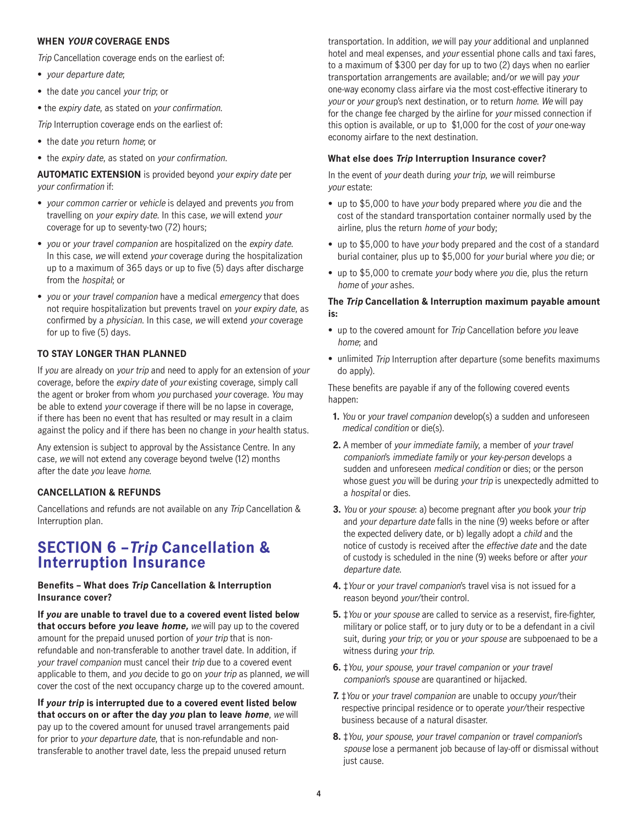#### **WHEN YOUR COVERAGE ENDS**

Trip Cancellation coverage ends on the earliest of:

- your departure date;
- the date you cancel your trip; or
- the expiry date, as stated on your confirmation.

Trip Interruption coverage ends on the earliest of:

- the date you return home; or
- the expiry date, as stated on your confirmation.

**AUTOMATIC EXTENSION** is provided beyond your expiry date per your confirmation if:

- your common carrier or vehicle is delayed and prevents you from travelling on your expiry date. In this case, we will extend your coverage for up to seventy-two (72) hours;
- you or your travel companion are hospitalized on the expiry date. In this case, we will extend your coverage during the hospitalization up to a maximum of 365 days or up to five (5) days after discharge from the hospital; or
- you or your travel companion have a medical emergency that does not require hospitalization but prevents travel on your expiry date, as confirmed by a physician. In this case, we will extend your coverage for up to five (5) days.

### **TO STAY LONGER THAN PLANNED**

If you are already on your trip and need to apply for an extension of your coverage, before the expiry date of your existing coverage, simply call the agent or broker from whom you purchased your coverage. You may be able to extend your coverage if there will be no lapse in coverage, if there has been no event that has resulted or may result in a claim against the policy and if there has been no change in your health status.

Any extension is subject to approval by the Assistance Centre. In any case, we will not extend any coverage beyond twelve (12) months after the date you leave home.

### **CANCELLATION & REFUNDS**

Cancellations and refunds are not available on any Trip Cancellation & Interruption plan.

### **SECTION 6 –Trip Cancellation & Interruption Insurance**

#### **Benefits – What does Trip Cancellation & Interruption Insurance cover?**

**If you are unable to travel due to a covered event listed below that occurs before you leave home,** we will pay up to the covered amount for the prepaid unused portion of your trip that is nonrefundable and non-transferable to another travel date. In addition, if your travel companion must cancel their trip due to a covered event applicable to them, and you decide to go on your trip as planned, we will cover the cost of the next occupancy charge up to the covered amount.

**If your trip is interrupted due to a covered event listed below that occurs on or after the day you plan to leave home**, we will pay up to the covered amount for unused travel arrangements paid for prior to your departure date, that is non-refundable and nontransferable to another travel date, less the prepaid unused return

transportation. In addition, we will pay your additional and unplanned hotel and meal expenses, and your essential phone calls and taxi fares, to a maximum of \$300 per day for up to two (2) days when no earlier transportation arrangements are available; and/or we will pay your one-way economy class airfare via the most cost‑effective itinerary to your or your group's next destination, or to return home. We will pay for the change fee charged by the airline for your missed connection if this option is available, or up to \$1,000 for the cost of your one-way economy airfare to the next destination.

#### **What else does Trip Interruption Insurance cover?**

In the event of your death during your trip, we will reimburse your estate:

- up to \$5,000 to have your body prepared where you die and the cost of the standard transportation container normally used by the airline, plus the return home of your body;
- up to \$5,000 to have your body prepared and the cost of a standard burial container, plus up to \$5,000 for your burial where you die; or
- up to \$5,000 to cremate your body where you die, plus the return home of your ashes.

#### **The Trip Cancellation & Interruption maximum payable amount is:**

- up to the covered amount for Trip Cancellation before you leave home; and
- unlimited Trip Interruption after departure (some benefits maximums do apply).

These benefits are payable if any of the following covered events happen:

- **1.** You or your travel companion develop(s) a sudden and unforeseen medical condition or die(s).
- **2.** A member of your immediate family, a member of your travel companion's immediate family or your key-person develops a sudden and unforeseen medical condition or dies; or the person whose guest you will be during your trip is unexpectedly admitted to a hospital or dies.
- **3.** You or your spouse: a) become pregnant after you book your trip and your departure date falls in the nine (9) weeks before or after the expected delivery date, or b) legally adopt a child and the notice of custody is received after the effective date and the date of custody is scheduled in the nine (9) weeks before or after your departure date.
- **4.** ‡Your or your travel companion's travel visa is not issued for a reason beyond your/their control.
- **5.** ‡You or your spouse are called to service as a reservist, fire-fighter, military or police staff, or to jury duty or to be a defendant in a civil suit, during your trip; or you or your spouse are subpoenaed to be a witness during your trip.
- **6.** ‡You, your spouse, your travel companion or your travel companion's spouse are quarantined or hijacked.
- **7.** ‡You or your travel companion are unable to occupy your/their respective principal residence or to operate your/their respective business because of a natural disaster.
- **8.** ‡You, your spouse, your travel companion or travel companion's spouse lose a permanent job because of lay-off or dismissal without just cause.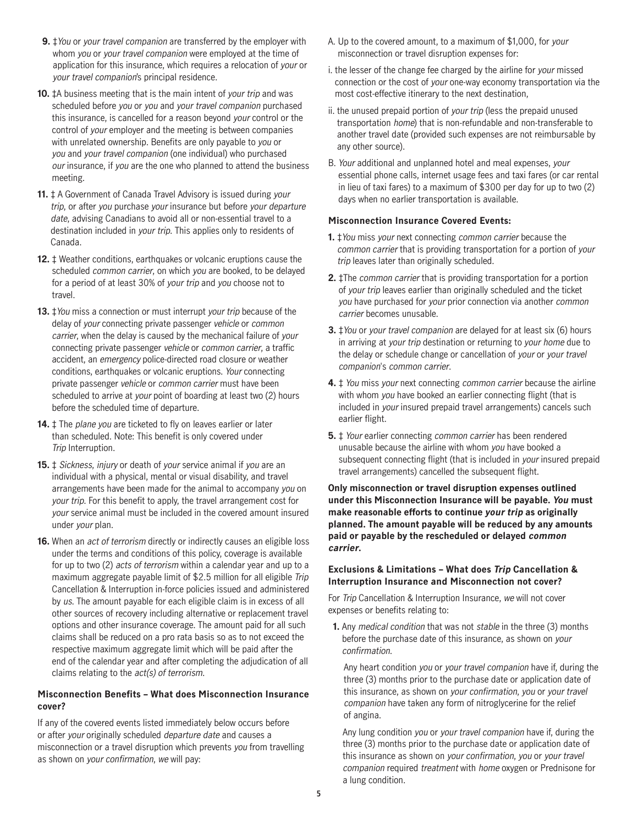- **9.** ‡You or your travel companion are transferred by the employer with whom you or your travel companion were employed at the time of application for this insurance, which requires a relocation of your or your travel companion's principal residence.
- **10.** ‡A business meeting that is the main intent of your trip and was scheduled before you or you and your travel companion purchased this insurance, is cancelled for a reason beyond your control or the control of your employer and the meeting is between companies with unrelated ownership. Benefits are only payable to you or you and your travel companion (one individual) who purchased our insurance, if you are the one who planned to attend the business meeting.
- **11.** ‡ A Government of Canada Travel Advisory is issued during your trip, or after you purchase your insurance but before your departure date, advising Canadians to avoid all or non-essential travel to a destination included in your trip. This applies only to residents of Canada.
- **12.** ‡ Weather conditions, earthquakes or volcanic eruptions cause the scheduled common carrier, on which you are booked, to be delayed for a period of at least 30% of your trip and you choose not to travel.
- **13.** ‡You miss a connection or must interrupt your trip because of the delay of your connecting private passenger vehicle or common carrier, when the delay is caused by the mechanical failure of your connecting private passenger vehicle or common carrier, a traffic accident, an emergency police-directed road closure or weather conditions, earthquakes or volcanic eruptions. Your connecting private passenger vehicle or common carrier must have been scheduled to arrive at your point of boarding at least two (2) hours before the scheduled time of departure.
- 14.  $\ddagger$  The plane you are ticketed to fly on leaves earlier or later than scheduled. Note: This benefit is only covered under Trip Interruption.
- **15.**  $\ddagger$  Sickness, injury or death of your service animal if you are an individual with a physical, mental or visual disability, and travel arrangements have been made for the animal to accompany you on your trip. For this benefit to apply, the travel arrangement cost for your service animal must be included in the covered amount insured under your plan.
- **16.** When an *act of terrorism* directly or indirectly causes an eligible loss under the terms and conditions of this policy, coverage is available for up to two (2) acts of terrorism within a calendar year and up to a maximum aggregate payable limit of \$2.5 million for all eligible Trip Cancellation & Interruption in-force policies issued and administered by us. The amount payable for each eligible claim is in excess of all other sources of recovery including alternative or replacement travel options and other insurance coverage. The amount paid for all such claims shall be reduced on a pro rata basis so as to not exceed the respective maximum aggregate limit which will be paid after the end of the calendar year and after completing the adjudication of all claims relating to the act(s) of terrorism.

#### **Misconnection Benefits – What does Misconnection Insurance cover?**

If any of the covered events listed immediately below occurs before or after your originally scheduled departure date and causes a misconnection or a travel disruption which prevents you from travelling as shown on your confirmation, we will pay:

- A. Up to the covered amount, to a maximum of \$1,000, for your misconnection or travel disruption expenses for:
- i. the lesser of the change fee charged by the airline for your missed connection or the cost of your one-way economy transportation via the most cost-effective itinerary to the next destination,
- ii. the unused prepaid portion of your trip (less the prepaid unused transportation home) that is non-refundable and non-transferable to another travel date (provided such expenses are not reimbursable by any other source).
- B. Your additional and unplanned hotel and meal expenses, your essential phone calls, internet usage fees and taxi fares (or car rental in lieu of taxi fares) to a maximum of \$300 per day for up to two (2) days when no earlier transportation is available.

### **Misconnection Insurance Covered Events:**

- **1.** ‡You miss your next connecting common carrier because the common carrier that is providing transportation for a portion of your trip leaves later than originally scheduled.
- **2. ‡The common carrier that is providing transportation for a portion** of your trip leaves earlier than originally scheduled and the ticket you have purchased for your prior connection via another common carrier becomes unusable.
- **3. ‡**You or your travel companion are delayed for at least six (6) hours in arriving at your trip destination or returning to your home due to the delay or schedule change or cancellation of your or your travel companion's common carrier.
- **4.** ‡ You miss your next connecting common carrier because the airline with whom you have booked an earlier connecting flight (that is included in your insured prepaid travel arrangements) cancels such earlier flight.
- **5.** ‡ Your earlier connecting common carrier has been rendered unusable because the airline with whom you have booked a subsequent connecting flight (that is included in your insured prepaid travel arrangements) cancelled the subsequent flight.

**Only misconnection or travel disruption expenses outlined under this Misconnection Insurance will be payable. You must make reasonable efforts to continue your trip as originally planned. The amount payable will be reduced by any amounts paid or payable by the rescheduled or delayed common carrier.**

#### **Exclusions & Limitations – What does Trip Cancellation & Interruption Insurance and Misconnection not cover?**

For Trip Cancellation & Interruption Insurance, we will not cover expenses or benefits relating to:

 **1.** Any medical condition that was not stable in the three (3) months before the purchase date of this insurance, as shown on your confirmation.

Any heart condition you or your travel companion have if, during the three (3) months prior to the purchase date or application date of this insurance, as shown on your confirmation, you or your travel companion have taken any form of nitroglycerine for the relief of angina.

Any lung condition you or your travel companion have if, during the three (3) months prior to the purchase date or application date of this insurance as shown on your confirmation, you or your travel companion required treatment with home oxygen or Prednisone for a lung condition.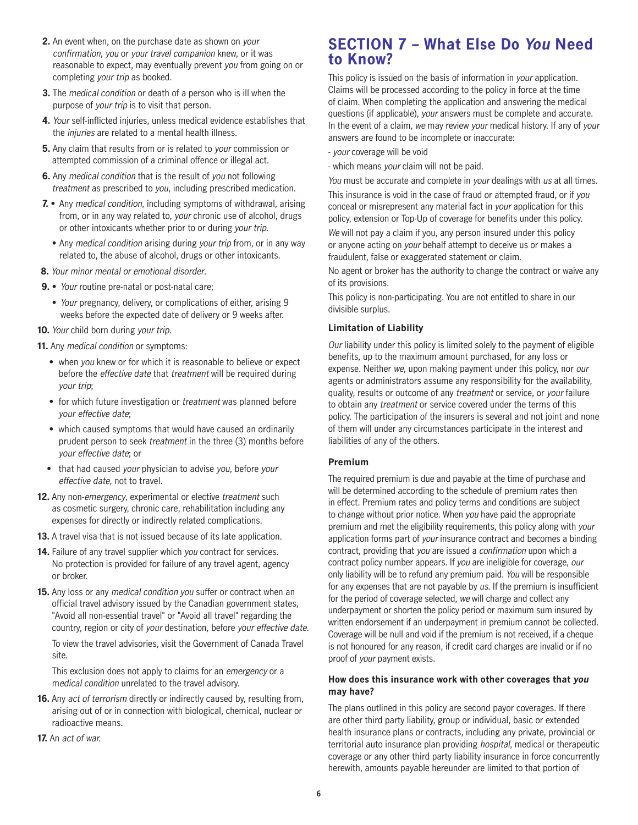- **2.** An event when, on the purchase date as shown on your confirmation, you or your travel companion knew, or it was reasonable to expect, may eventually prevent you from going on or completing your trip as booked.
- **3.** The medical condition or death of a person who is ill when the purpose of your trip is to visit that person.
- **4.** Your self-inflicted injuries, unless medical evidence establishes that the *injuries* are related to a mental health illness.
- **5.** Any claim that results from or is related to your commission or attempted commission of a criminal offence or illegal act.
- **6.** Any medical condition that is the result of you not following treatment as prescribed to you, including prescribed medication.
- **7.** Any medical condition, including symptoms of withdrawal, arising from, or in any way related to, your chronic use of alcohol, drugs or other intoxicants whether prior to or during your trip.
	- Any medical condition arising during your trip from, or in any way related to, the abuse of alcohol, drugs or other intoxicants.
- **8.** Your minor mental or emotional disorder.
- **9.**  Your routine pre-natal or post-natal care;
	- Your pregnancy, delivery, or complications of either, arising 9 weeks before the expected date of delivery or 9 weeks after.
- **10.** Your child born during your trip.

**11.** Any medical condition or symptoms:

- when you knew or for which it is reasonable to believe or expect before the effective date that treatment will be required during your trip;
- for which future investigation or *treatment* was planned before your effective date;
- which caused symptoms that would have caused an ordinarily prudent person to seek treatment in the three (3) months before your effective date; or
- that had caused your physician to advise you, before your effective date, not to travel.
- **12.** Any non-emergency, experimental or elective treatment such as cosmetic surgery, chronic care, rehabilitation including any expenses for directly or indirectly related complications.
- **13.** A travel visa that is not issued because of its late application.
- 14. Failure of any travel supplier which you contract for services. No protection is provided for failure of any travel agent, agency or broker.
- **15.** Any loss or any medical condition you suffer or contract when an official travel advisory issued by the Canadian government states, "Avoid all non-essential travel" or "Avoid all travel" regarding the country, region or city of your destination, before your effective date.

To view the travel advisories, visit the Government of Canada Travel site.

This exclusion does not apply to claims for an emergency or a medical condition unrelated to the travel advisory.

- **16.** Any act of terrorism directly or indirectly caused by, resulting from, arising out of or in connection with biological, chemical, nuclear or radioactive means.
- **17.** An act of war.

### **SECTION 7 – What Else Do You Need to Know?**

This policy is issued on the basis of information in your application. Claims will be processed according to the policy in force at the time of claim. When completing the application and answering the medical questions (if applicable), your answers must be complete and accurate. In the event of a claim, we may review your medical history. If any of your answers are found to be incomplete or inaccurate:

- your coverage will be void
- which means your claim will not be paid.

You must be accurate and complete in your dealings with us at all times. This insurance is void in the case of fraud or attempted fraud, or if you conceal or misrepresent any material fact in your application for this policy, extension or Top-Up of coverage for benefits under this policy.

We will not pay a claim if you, any person insured under this policy or anyone acting on your behalf attempt to deceive us or makes a fraudulent, false or exaggerated statement or claim.

No agent or broker has the authority to change the contract or waive any of its provisions.

This policy is non-participating. You are not entitled to share in our divisible surplus.

#### **Limitation of Liability**

Our liability under this policy is limited solely to the payment of eligible benefits, up to the maximum amount purchased, for any loss or expense. Neither we, upon making payment under this policy, nor our agents or administrators assume any responsibility for the availability, quality, results or outcome of any treatment or service, or your failure to obtain any treatment or service covered under the terms of this policy. The participation of the insurers is several and not joint and none of them will under any circumstances participate in the interest and liabilities of any of the others.

#### **Premium**

The required premium is due and payable at the time of purchase and will be determined according to the schedule of premium rates then in effect. Premium rates and policy terms and conditions are subject to change without prior notice. When you have paid the appropriate premium and met the eligibility requirements, this policy along with your application forms part of your insurance contract and becomes a binding contract, providing that you are issued a confirmation upon which a contract policy number appears. If you are ineligible for coverage, our only liability will be to refund any premium paid. You will be responsible for any expenses that are not payable by us. If the premium is insufficient for the period of coverage selected, we will charge and collect any underpayment or shorten the policy period or maximum sum insured by written endorsement if an underpayment in premium cannot be collected. Coverage will be null and void if the premium is not received, if a cheque is not honoured for any reason, if credit card charges are invalid or if no proof of your payment exists.

#### **How does this insurance work with other coverages that you may have?**

The plans outlined in this policy are second payor coverages. If there are other third party liability, group or individual, basic or extended health insurance plans or contracts, including any private, provincial or territorial auto insurance plan providing hospital, medical or therapeutic coverage or any other third party liability insurance in force concurrently herewith, amounts payable hereunder are limited to that portion of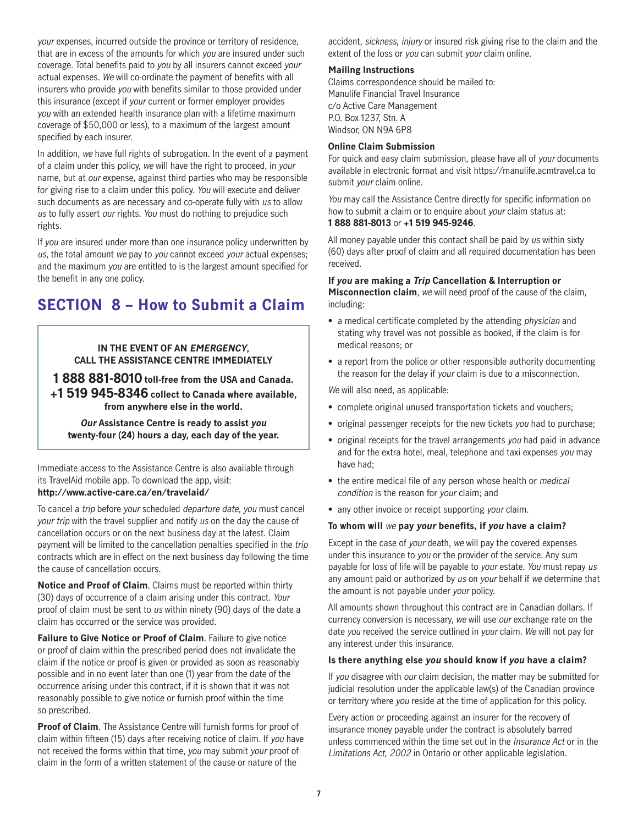your expenses, incurred outside the province or territory of residence, that are in excess of the amounts for which you are insured under such coverage. Total benefits paid to you by all insurers cannot exceed your actual expenses. We will co-ordinate the payment of benefits with all insurers who provide you with benefits similar to those provided under this insurance (except if your current or former employer provides you with an extended health insurance plan with a lifetime maximum coverage of \$50,000 or less), to a maximum of the largest amount specified by each insurer.

In addition, we have full rights of subrogation. In the event of a payment of a claim under this policy, we will have the right to proceed, in your name, but at our expense, against third parties who may be responsible for giving rise to a claim under this policy. You will execute and deliver such documents as are necessary and co-operate fully with us to allow us to fully assert our rights. You must do nothing to prejudice such rights.

If you are insured under more than one insurance policy underwritten by us, the total amount we pay to you cannot exceed your actual expenses; and the maximum you are entitled to is the largest amount specified for the benefit in any one policy.

### **SECTION 8 – How to Submit a Claim**

### **IN THE EVENT OF AN EMERGENCY, CALL THE ASSISTANCE CENTRE IMMEDIATELY**

**1 888 881-8010 toll-free from the USA and Canada. +1 519 945-8346 collect to Canada where available, from anywhere else in the world.**

**Our Assistance Centre is ready to assist you twenty-four (24) hours a day, each day of the year.**

Immediate access to the Assistance Centre is also available through its TravelAid mobile app. To download the app, visit: **http://www.active-care.ca/en/travelaid/**

To cancel a trip before your scheduled departure date, you must cancel your trip with the travel supplier and notify us on the day the cause of cancellation occurs or on the next business day at the latest. Claim payment will be limited to the cancellation penalties specified in the trip contracts which are in effect on the next business day following the time the cause of cancellation occurs.

**Notice and Proof of Claim**. Claims must be reported within thirty (30) days of occurrence of a claim arising under this contract. Your proof of claim must be sent to us within ninety (90) days of the date a claim has occurred or the service was provided.

**Failure to Give Notice or Proof of Claim**. Failure to give notice or proof of claim within the prescribed period does not invalidate the claim if the notice or proof is given or provided as soon as reasonably possible and in no event later than one (1) year from the date of the occurrence arising under this contract, if it is shown that it was not reasonably possible to give notice or furnish proof within the time so prescribed.

**Proof of Claim**. The Assistance Centre will furnish forms for proof of claim within fifteen (15) days after receiving notice of claim. If you have not received the forms within that time, you may submit your proof of claim in the form of a written statement of the cause or nature of the

accident, sickness, injury or insured risk giving rise to the claim and the extent of the loss or you can submit your claim online.

#### **Mailing Instructions**

Claims correspondence should be mailed to: Manulife Financial Travel Insurance c/o Active Care Management P.O. Box 1237, Stn. A Windsor, ON N9A 6P8

#### **Online Claim Submission**

For quick and easy claim submission, please have all of your documents available in electronic format and visit https://manulife.acmtravel.ca to submit your claim online.

You may call the Assistance Centre directly for specific information on how to submit a claim or to enquire about your claim status at: **1 888 881-8013** or **+1 519 945-9246**.

All money payable under this contact shall be paid by us within sixty (60) days after proof of claim and all required documentation has been received.

**If you are making a Trip Cancellation & Interruption or Misconnection claim**, we will need proof of the cause of the claim, including:

- a medical certificate completed by the attending physician and stating why travel was not possible as booked, if the claim is for medical reasons; or
- a report from the police or other responsible authority documenting the reason for the delay if your claim is due to a misconnection.

We will also need, as applicable:

- complete original unused transportation tickets and vouchers;
- original passenger receipts for the new tickets you had to purchase;
- original receipts for the travel arrangements you had paid in advance and for the extra hotel, meal, telephone and taxi expenses you may have had;
- the entire medical file of any person whose health or *medical* condition is the reason for your claim; and
- any other invoice or receipt supporting your claim.

#### **To whom will** we **pay your benefits, if you have a claim?**

Except in the case of your death, we will pay the covered expenses under this insurance to you or the provider of the service. Any sum payable for loss of life will be payable to your estate. You must repay us any amount paid or authorized by us on your behalf if we determine that the amount is not payable under your policy.

All amounts shown throughout this contract are in Canadian dollars. If currency conversion is necessary, we will use our exchange rate on the date you received the service outlined in your claim. We will not pay for any interest under this insurance.

#### **Is there anything else you should know if you have a claim?**

If you disagree with our claim decision, the matter may be submitted for judicial resolution under the applicable law(s) of the Canadian province or territory where you reside at the time of application for this policy.

Every action or proceeding against an insurer for the recovery of insurance money payable under the contract is absolutely barred unless commenced within the time set out in the Insurance Act or in the Limitations Act, 2002 in Ontario or other applicable legislation.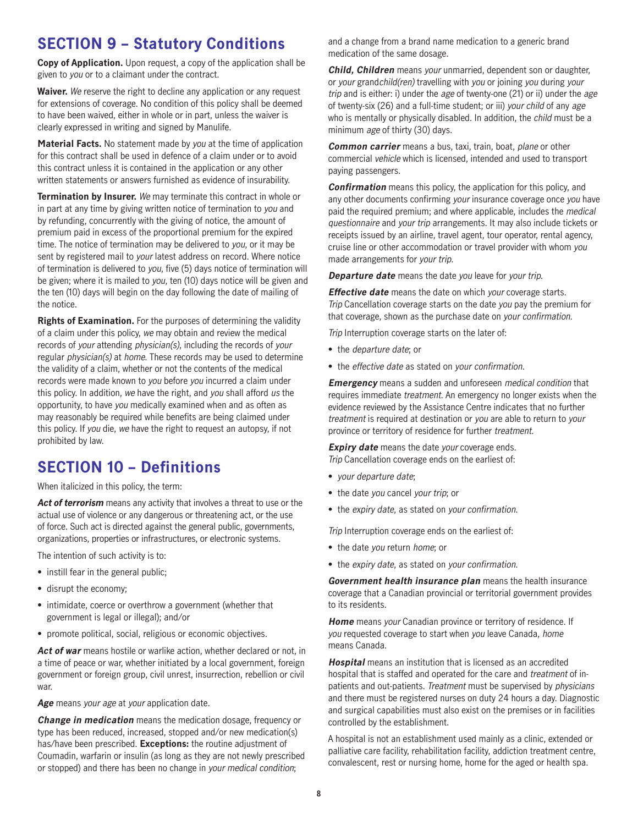### **SECTION 9 – Statutory Conditions**

**Copy of Application.** Upon request, a copy of the application shall be given to you or to a claimant under the contract.

**Waiver.** We reserve the right to decline any application or any request for extensions of coverage. No condition of this policy shall be deemed to have been waived, either in whole or in part, unless the waiver is clearly expressed in writing and signed by Manulife.

**Material Facts.** No statement made by you at the time of application for this contract shall be used in defence of a claim under or to avoid this contract unless it is contained in the application or any other written statements or answers furnished as evidence of insurability.

**Termination by Insurer.** We may terminate this contract in whole or in part at any time by giving written notice of termination to you and by refunding, concurrently with the giving of notice, the amount of premium paid in excess of the proportional premium for the expired time. The notice of termination may be delivered to you, or it may be sent by registered mail to your latest address on record. Where notice of termination is delivered to you, five (5) days notice of termination will be given; where it is mailed to you, ten (10) days notice will be given and the ten (10) days will begin on the day following the date of mailing of the notice.

**Rights of Examination.** For the purposes of determining the validity of a claim under this policy, we may obtain and review the medical records of your attending physician(s), including the records of your regular *physician(s)* at *home*. These records may be used to determine the validity of a claim, whether or not the contents of the medical records were made known to you before you incurred a claim under this policy. In addition, we have the right, and you shall afford us the opportunity, to have you medically examined when and as often as may reasonably be required while benefits are being claimed under this policy. If you die, we have the right to request an autopsy, if not prohibited by law.

### **SECTION 10 – Definitions**

When italicized in this policy, the term:

Act of terrorism means any activity that involves a threat to use or the actual use of violence or any dangerous or threatening act, or the use of force. Such act is directed against the general public, governments, organizations, properties or infrastructures, or electronic systems.

The intention of such activity is to:

- instill fear in the general public;
- disrupt the economy;
- intimidate, coerce or overthrow a government (whether that government is legal or illegal); and/or
- promote political, social, religious or economic objectives.

Act of war means hostile or warlike action, whether declared or not, in a time of peace or war, whether initiated by a local government, foreign government or foreign group, civil unrest, insurrection, rebellion or civil war.

**Age** means your age at your application date.

**Change in medication** means the medication dosage, frequency or type has been reduced, increased, stopped and/or new medication(s) has/have been prescribed. **Exceptions:** the routine adjustment of Coumadin, warfarin or insulin (as long as they are not newly prescribed or stopped) and there has been no change in your medical condition;

and a change from a brand name medication to a generic brand medication of the same dosage.

**Child, Children** means your unmarried, dependent son or daughter, or your grandchild(ren) travelling with you or joining you during your trip and is either: i) under the age of twenty-one (21) or ii) under the age of twenty-six (26) and a full-time student; or iii) your child of any age who is mentally or physically disabled. In addition, the child must be a minimum age of thirty (30) days.

**Common carrier** means a bus, taxi, train, boat, plane or other commercial vehicle which is licensed, intended and used to transport paying passengers.

**Confirmation** means this policy, the application for this policy, and any other documents confirming your insurance coverage once you have paid the required premium; and where applicable, includes the medical questionnaire and your trip arrangements. It may also include tickets or receipts issued by an airline, travel agent, tour operator, rental agency, cruise line or other accommodation or travel provider with whom you made arrangements for your trip.

**Departure date** means the date you leave for your trip.

**Effective date** means the date on which your coverage starts. Trip Cancellation coverage starts on the date you pay the premium for that coverage, shown as the purchase date on your confirmation.

Trip Interruption coverage starts on the later of:

- the departure date; or
- the effective date as stated on your confirmation.

**Emergency** means a sudden and unforeseen medical condition that requires immediate treatment. An emergency no longer exists when the evidence reviewed by the Assistance Centre indicates that no further treatment is required at destination or you are able to return to your province or territory of residence for further treatment.

**Expiry date** means the date your coverage ends. Trip Cancellation coverage ends on the earliest of:

- your departure date;
- the date you cancel your trip; or
- the expiry date, as stated on your confirmation.

Trip Interruption coverage ends on the earliest of:

- the date you return home; or
- the expiry date, as stated on your confirmation.

**Government health insurance plan** means the health insurance coverage that a Canadian provincial or territorial government provides to its residents.

**Home** means your Canadian province or territory of residence. If you requested coverage to start when you leave Canada, home means Canada.

**Hospital** means an institution that is licensed as an accredited hospital that is staffed and operated for the care and treatment of inpatients and out-patients. Treatment must be supervised by physicians and there must be registered nurses on duty 24 hours a day. Diagnostic and surgical capabilities must also exist on the premises or in facilities controlled by the establishment.

A hospital is not an establishment used mainly as a clinic, extended or palliative care facility, rehabilitation facility, addiction treatment centre, convalescent, rest or nursing home, home for the aged or health spa.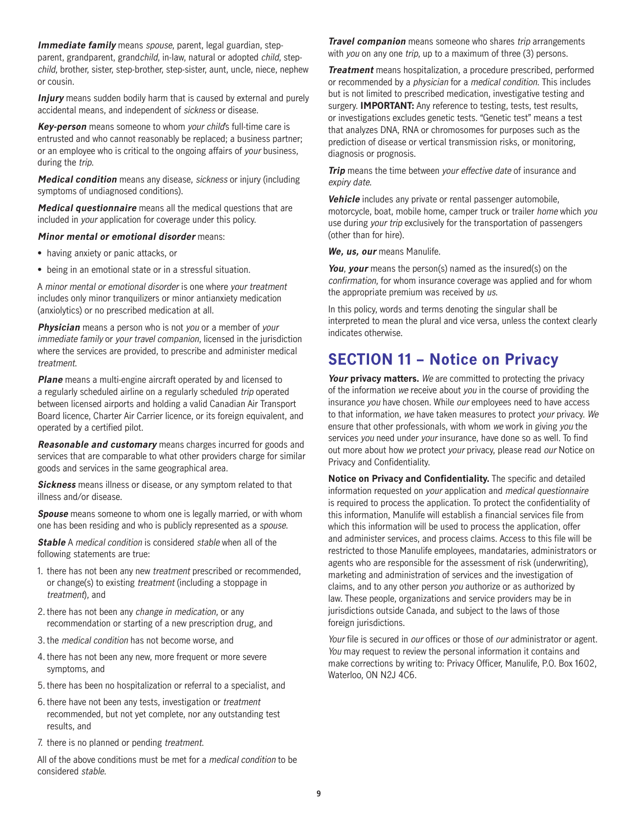**Immediate family** means spouse, parent, legal guardian, stepparent, grandparent, grandchild, in-law, natural or adopted child, stepchild, brother, sister, step-brother, step-sister, aunt, uncle, niece, nephew or cousin.

**Injury** means sudden bodily harm that is caused by external and purely accidental means, and independent of sickness or disease.

**Key-person** means someone to whom your child's full-time care is entrusted and who cannot reasonably be replaced; a business partner; or an employee who is critical to the ongoing affairs of your business, during the *trip*.

**Medical condition** means any disease, sickness or injury (including symptoms of undiagnosed conditions).

**Medical questionnaire** means all the medical questions that are included in your application for coverage under this policy.

#### **Minor mental or emotional disorder** means:

- having anxiety or panic attacks, or
- being in an emotional state or in a stressful situation.

A minor mental or emotional disorder is one where your treatment includes only minor tranquilizers or minor antianxiety medication (anxiolytics) or no prescribed medication at all.

**Physician** means a person who is not you or a member of your immediate family or your travel companion, licensed in the jurisdiction where the services are provided, to prescribe and administer medical treatment.

**Plane** means a multi-engine aircraft operated by and licensed to a regularly scheduled airline on a regularly scheduled trip operated between licensed airports and holding a valid Canadian Air Transport Board licence, Charter Air Carrier licence, or its foreign equivalent, and operated by a certified pilot.

**Reasonable and customary** means charges incurred for goods and services that are comparable to what other providers charge for similar goods and services in the same geographical area.

**Sickness** means illness or disease, or any symptom related to that illness and/or disease.

**Spouse** means someone to whom one is legally married, or with whom one has been residing and who is publicly represented as a spouse.

**Stable** A medical condition is considered stable when all of the following statements are true:

- 1. there has not been any new treatment prescribed or recommended, or change(s) to existing treatment (including a stoppage in treatment), and
- 2. there has not been any change in medication, or any recommendation or starting of a new prescription drug, and
- 3. the medical condition has not become worse, and
- 4. there has not been any new, more frequent or more severe symptoms, and
- 5. there has been no hospitalization or referral to a specialist, and
- 6. there have not been any tests, investigation or treatment recommended, but not yet complete, nor any outstanding test results, and
- 7. there is no planned or pending treatment.

All of the above conditions must be met for a *medical condition* to be considered stable.

**Travel companion** means someone who shares trip arrangements with you on any one trip, up to a maximum of three (3) persons.

**Treatment** means hospitalization, a procedure prescribed, performed or recommended by a physician for a medical condition. This includes but is not limited to prescribed medication, investigative testing and surgery. **IMPORTANT:** Any reference to testing, tests, test results, or investigations excludes genetic tests. "Genetic test" means a test that analyzes DNA, RNA or chromosomes for purposes such as the prediction of disease or vertical transmission risks, or monitoring, diagnosis or prognosis.

**Trip** means the time between your effective date of insurance and expiry date.

**Vehicle** includes any private or rental passenger automobile, motorcycle, boat, mobile home, camper truck or trailer home which you use during your trip exclusively for the transportation of passengers (other than for hire).

**We, us, our** means Manulife.

**You**, **your** means the person(s) named as the insured(s) on the confirmation, for whom insurance coverage was applied and for whom the appropriate premium was received by us.

In this policy, words and terms denoting the singular shall be interpreted to mean the plural and vice versa, unless the context clearly indicates otherwise.

### **SECTION 11 – Notice on Privacy**

**Your privacy matters.** We are committed to protecting the privacy of the information we receive about you in the course of providing the insurance you have chosen. While our employees need to have access to that information, we have taken measures to protect your privacy. We ensure that other professionals, with whom we work in giving you the services you need under your insurance, have done so as well. To find out more about how we protect your privacy, please read our Notice on Privacy and Confidentiality.

**Notice on Privacy and Confidentiality.** The specific and detailed information requested on your application and medical questionnaire is required to process the application. To protect the confidentiality of this information, Manulife will establish a financial services file from which this information will be used to process the application, offer and administer services, and process claims. Access to this file will be restricted to those Manulife employees, mandataries, administrators or agents who are responsible for the assessment of risk (underwriting), marketing and administration of services and the investigation of claims, and to any other person you authorize or as authorized by law. These people, organizations and service providers may be in jurisdictions outside Canada, and subject to the laws of those foreign jurisdictions.

Your file is secured in our offices or those of our administrator or agent. You may request to review the personal information it contains and make corrections by writing to: Privacy Officer, Manulife, P.O. Box 1602, Waterloo, ON N2J 4C6.